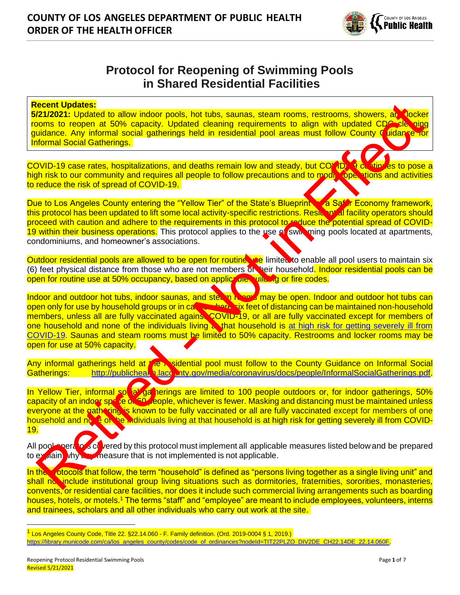

# **Protocol for Reopening of Swimming Pools in Shared Residential Facilities**

#### **Recent Updates:**

**5/21/2021:** Updated to allow indoor pools, hot tubs, saunas, steam rooms, restrooms, showers, an vocker rooms to reopen at 50% capacity. Updated cleaning requirements to align with updated CDC cleaning guidance. Any informal social gatherings held in residential pool areas must follow County Guidance for Informal Social Gatherings.

COVID-19 case rates, hospitalizations, and deaths remain low and steady, but COVID-19 continues to pose a high risk to our community and requires all people to follow precautions and to moditione ations and activities to reduce the risk of spread of COVID-19.

Due to Los Angeles County entering the "Yellow Tier" of the State's Blueprint The Safer Economy framework, this protocol has been updated to lift some local activity-specific restrictions. Resident al facility operators should proceed with caution and adhere to the requirements in this protocol to reduce the potential spread of COVID-19 within their business operations. This protocol applies to the use of swip ming pools located at apartments, condominiums, and homeowner's associations.

Outdoor residential pools are allowed to be open for routine use limited to enable all pool users to maintain six (6) feet physical distance from those who are not members of heir household. Indoor residential pools can be open for routine use at 50% occupancy, based on applicable wilding or fire codes.

Indoor and outdoor hot tubs, indoor saunas, and steam rooms may be open. Indoor and outdoor hot tubs can open only for use by household groups or in cases where six feet of distancing can be maintained non-household members, unless all are fully vaccinated agains. COVID-19, or all are fully vaccinated except for members of one household and none of the individuals living anthat household is at high risk for getting severely ill from [COVID-19.](https://www.cdc.gov/coronavirus/2019-ncov/need-extra-precautions/people-with-medical-conditions.html/%22%20/) Saunas and steam rooms must be limited to 50% capacity. Restrooms and locker rooms may be open for use at 50% capacity. ecent Updates:<br>
Carl Control in the proposition of the same subset of the same subset of the same subset of the same subset of the same subset of the same subset of the same subset of the same subset of the same subset of

Any informal gatherings held at the residential pool must follow to the County Guidance on Informal Social Gatherings: http://publichealth.lacounty.gov/media/coronavirus/docs/people/InformalSocialGatherings.pdf.

In Yellow Tier, informal social gatherings are limited to 100 people outdoors or, for indoor gatherings, 50% capacity of an indoor space Or 50 people, whichever is fewer. Masking and distancing must be maintained unless everyone at the gathering is known to be fully vaccinated or all are fully vaccinated except for members of one household and none of the individuals living at that household is at high risk for getting severely ill from COVID-[19.](https://www.cdc.gov/coronavirus/2019-ncov/need-extra-precautions/people-with-medical-conditions.html/)

All pool operators covered by this protocol must implement all applicable measures listed below and be prepared to explain why any measure that is not implemented is not applicable.

In the protocols that follow, the term "household" is defined as "persons living together as a single living unit" and shall not include institutional group living situations such as dormitories, fraternities, sororities, monasteries, convents, or residential care facilities, nor does it include such commercial living arrangements such as boarding houses, hotels, or motels.<sup>1</sup> The terms "staff" and "employee" are meant to include employees, volunteers, interns and trainees, scholars and all other individuals who carry out work at the site.

<sup>1</sup> Los Angeles County Code, Title 22. §22.14.060 - F. Family definition. (Ord. 2019-0004 § 1, 2019.)

[https://library.municode.com/ca/los\\_angeles\\_county/codes/code\\_of\\_ordinances?nodeId=TIT22PLZO\\_DIV2DE\\_CH22.14DE\\_22.14.060F.](https://library.municode.com/ca/los_angeles_county/codes/code_of_ordinances?nodeId=TIT22PLZO_DIV2DE_CH22.14DE_22.14.060F)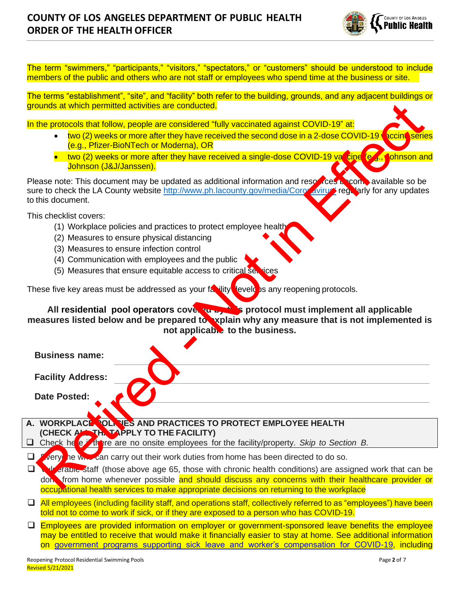

The term "swimmers," "participants," "visitors," "spectators," or "customers" should be understood to include members of the public and others who are not staff or employees who spend time at the business or site.

The terms "establishment", "site", and "facility" both refer to the building, grounds, and any adjacent buildings or grounds at which permitted activities are conducted.

- two (2) weeks or more after they have received the second dose in a 2-dose COVID-19 vaccine series (e.g., Pfizer-BioNTech or Moderna), OR
- two (2) weeks or more after they have received a single-dose COVID-19 vaccine (e.g., Johnson and Johnson (J&J/Janssen).

- (1) Workplace policies and practices to protect employee health
- (2) Measures to ensure physical distancing
- (3) Measures to ensure infection control
- (4) Communication with employees and the public
- (5) Measures that ensure equitable access to critical services

| grounds at which permitted activities are conducted.                                                                                                                                                                                                                                                                |
|---------------------------------------------------------------------------------------------------------------------------------------------------------------------------------------------------------------------------------------------------------------------------------------------------------------------|
| In the protocols that follow, people are considered "fully vaccinated against COVID-19" at:                                                                                                                                                                                                                         |
| two (2) weeks or more after they have received the second dose in a 2-dose COVID-19 vaccine series<br>(e.g., Pfizer-BioNTech or Moderna), OR                                                                                                                                                                        |
| • two (2) weeks or more after they have received a single-dose COVID-19 val cine (e.g., cohnson and<br>Johnson (J&J/Janssen).                                                                                                                                                                                       |
| Please note: This document may be updated as additional information and resources be compavailable so be<br>sure to check the LA County website http://www.ph.lacounty.gov/media/Coro avirus regularly for any updates<br>to this document.                                                                         |
| This checklist covers:<br>(1) Workplace policies and practices to protect employee health<br>(2) Measures to ensure physical distancing<br>(3) Measures to ensure infection control<br>(4) Communication with employees and the public<br>(5) Measures that ensure equitable access to critical services            |
| These five key areas must be addressed as your faility level is any reopening protocols.<br>All residential pool operators cover to be protocol must implement all applicable<br>measures listed below and be prepared to xplain why any measure that is not implemented is<br>not applicable to the business.      |
| <b>Business name:</b>                                                                                                                                                                                                                                                                                               |
| <b>Facility Address:</b>                                                                                                                                                                                                                                                                                            |
| <b>Date Posted:</b>                                                                                                                                                                                                                                                                                                 |
| A. WORKPLACE OLNIES AND PRACTICES TO PROTECT EMPLOYEE HEALTH                                                                                                                                                                                                                                                        |
| (CHECK ALL THE TAPPLY TO THE FACILITY)<br>Check he e there are no onsite employees for the facility/property. Skip to Section B.                                                                                                                                                                                    |
| very he will can carry out their work duties from home has been directed to do so.<br>❏                                                                                                                                                                                                                             |
| $\Box$<br>dreadore staff (those above age 65, those with chronic health conditions) are assigned work that can be<br>don, from home whenever possible and should discuss any concerns with their healthcare provider or<br>occupational health services to make appropriate decisions on returning to the workplace |

- ❑ All employees (including facility staff, and operations staff, collectively referred to as "employees") have been told not to come to work if sick, or if they are exposed to a person who has COVID-19.
- □ Employees are provided information on employer or government-sponsored leave benefits the employee may be entitled to receive that would make it financially easier to stay at home. See additional information on [government programs supporting sick leave and worker's compensation for COVID-19,](https://www.labor.ca.gov/coronavirus2019/#chart) including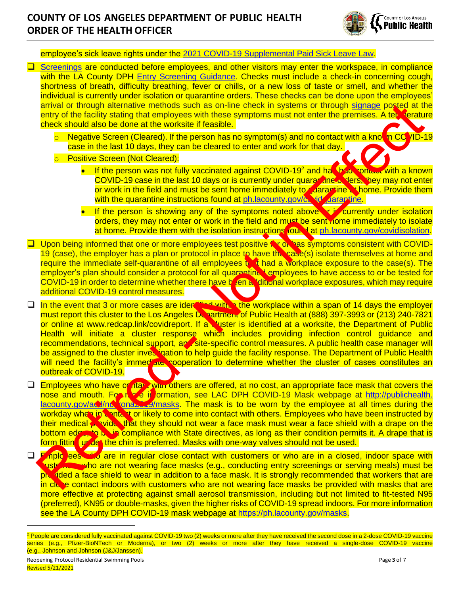

employee's sick leave rights under the [2021 COVID-19 Supplemental Paid Sick Leave Law.](https://www.dir.ca.gov/dlse/COVID19Resources/FAQ-for-SPSL-2021.html)

❑ [Screenings](http://publichealth.lacounty.gov/media/Coronavirus/docs/business/EntryScreening.pdf) are conducted before employees, and other visitors may enter the workspace, in compliance with the LA County DPH [Entry Screening Guidance.](http://publichealth.lacounty.gov/media/Coronavirus/docs/business/EntryScreening.pdf) Checks must include a check-in concerning cough, shortness of breath, difficulty breathing, fever or chills, or a new loss of taste or smell, and whether the individual is currently under isolation or quarantine orders. These checks can be done upon the employees' arrival or through alternative methods such as on-line check in systems or through signage posted at the entry of the facility stating that employees with these symptoms must not enter the premises. A tex verature check should also be done at the worksite if feasible.

- $\circ$  Negative Screen (Cleared). If the person has no symptom(s) and no contact with a known COVID-19 case in the last 10 days, they can be cleared to enter and work for that day.
- o Positive Screen (Not Cleared):
	- If the person was not fully vaccinated against COVID-19<sup>2</sup> and hat had contact with a known COVID-19 case in the last 10 days or is currently under quarantine orders, they may not enter or work in the field and must be sent home immediately to quarantine at home. Provide them with the quarantine instructions found at ph.lacounty.gov/covide darantine.
	- If the person is showing any of the symptoms noted above  $\bullet$  is currently under isolation orders, they may not enter or work in the field and must be sent home immediately to isolate at home. Provide them with the isolation instructions found at ph.lacounty.gov/covidisolation.
- □ Upon being informed that one or more employees test positive for on has symptoms consistent with COVID-19 (case), the employer has a plan or protocol in place to have the case(s) isolate themselves at home and require the immediate self-quarantine of all employees  $t_i$ , it had a workplace exposure to the case(s). The employer's plan should consider a protocol for all quarantined employees to have access to or be tested for COVID-19 in order to determine whether there have been a ditional workplace exposures, which may require additional COVID-19 control measures.
- □ In the event that 3 or more cases are identified with. the workplace within a span of 14 days the employer must report this cluster to the Los Angeles Department of Public Health at (888) 397-3993 or (213) 240-7821 or online at www.redcap.link/covidreport. If a cluster is identified at a worksite, the Department of Public Health will initiate a cluster response which includes providing infection control guidance and recommendations, technical support, and site-specific control measures. A public health case manager will be assigned to the cluster investigation to help guide the facility response. The Department of Public Health will need the facility's immediate cooperation to determine whether the cluster of cases constitutes an outbreak of COVID-19. armingof through alternative methods such as on-line check in systems of through alternative of the distingeneous control as the basic of the distingeneous control as the basic of the distingeneous control as the basic of
- □ Employees who have contact with others are offered, at no cost, an appropriate face mask that covers the nose and mouth. For more in ormation, see LAC DPH COVID-19 Mask webpage at http://publichealth. lacounty.gov/ac/ncorona2009/masks. The mask is to be worn by the employee at all times during the workday when in contact or likely to come into contact with others. Employees who have been instructed by their medical **provident that they should not wear a face mask must wear a face shield with a drape on the** bottom edge, to be in compliance with State directives, as long as their condition permits it. A drape that is form fitting under the chin is preferred. Masks with one-way valves should not be used.

□ Fmplo ees who are in regular close contact with customers or who are in a closed, indoor space with usto who are not wearing face masks (e.g., conducting entry screenings or serving meals) must be provided a face shield to wear in addition to a face mask. It is strongly recommended that workers that are in close contact indoors with customers who are not wearing face masks be provided with masks that are more effective at protecting against small aerosol transmission, including but not limited to fit-tested N95 (preferred), KN95 or double-masks, given the higher risks of COVID-19 spread indoors. For more information see the LA County DPH COVID-19 mask webpage at [https://ph.lacounty.gov/masks.](https://ph.lacounty.gov/masks)

<sup>&</sup>lt;sup>2</sup> People are considered fully vaccinated against COVID-19 two (2) weeks or more after they have received the second dose in a 2-dose COVID-19 vaccine series (e.g., Pfizer-BioNTech or Moderna), or two (2) weeks or more after they have received a single-dose COVID-19 vaccine (e.g., Johnson and Johnson (J&J/Janssen).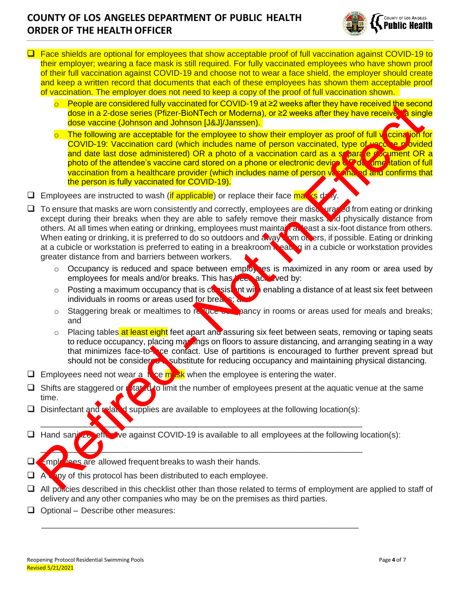

- ❑ Face shields are optional for employees that show acceptable proof of full vaccination against COVID-19 to their employer; wearing a face mask is still required. For fully vaccinated employees who have shown proof of their full vaccination against COVID-19 and choose not to wear a face shield, the employer should create and keep a written record that documents that each of these employees has shown them acceptable proof of vaccination. The employer does not need to keep a copy of the proof of full vaccination shown.
	- o People are considered fully vaccinated for COVID-19 at ≥2 weeks after they have received the second dose in a 2-dose series (Pfizer-BioNTech or Moderna), or ≥2 weeks after they have receive. A single dose vaccine (Johnson and Johnson [J&J]/Janssen).
	- $\circ$  The following are acceptable for the employee to show their employer as proof of full vaccination for COVID-19: Vaccination card (which includes name of person vaccinated, type of vaccine provided and date last dose administered) OR a photo of a vaccination card as a schara e document OR a photo of the attendee's vaccine card stored on a phone or electronic device  $\mathbf C$  do ame itation of full vaccination from a healthcare provider (which includes name of person valogina, ad and confirms that the person is fully vaccinated for COVID-19).
- $\Box$  Employees are instructed to wash (if applicable) or replace their face may is de-
- □ To ensure that masks are worn consistently and correctly, employees are discouraged from eating or drinking except during their breaks when they are able to safely remove their masks and physically distance from others. At all times when eating or drinking, employees must maintain at least a six-foot distance from others. When eating or drinking, it is preferred to do so outdoors and a vay from on ers, if possible. Eating or drinking at a cubicle or workstation is preferred to eating in a breakroom **is eating** in a cubicle or workstation provides greater distance from and barriers between workers. and the operation of the seale of the seale of COUL-19 and 20 webstar they have received the seale of the seale of the seale of the seale of the seale of the seale of the seale of the seale of the seale of the seale of the
	- o Occupancy is reduced and space between employies is maximized in any room or area used by employees for meals and/or breaks. This has been achieved by:
	- $\circ$  Posting a maximum occupancy that is consistent with enabling a distance of at least six feet between individuals in rooms or areas used for brea.
	- $\circ$  Staggering break or mealtimes to reduce on pancy in rooms or areas used for meals and breaks; and
	- o Placing tables at least eight feet apart and assuring six feet between seats, removing or taping seats to reduce occupancy, placing markings on floors to assure distancing, and arranging seating in a way that minimizes face-to- $\Box$ ce contact. Use of partitions is encouraged to further prevent spread but should not be considered a substitute for reducing occupancy and maintaining physical distancing.
- $\Box$  Employees need not wear a in se m isk when the employee is entering the water.
- $\Box$  Shifts are staggered or rotated to limit the number of employees present at the aquatic venue at the same time.
- □ Disinfectant and related supplies are available to employees at the following location(s):

 $\overline{\phantom{a}}$  , and the contribution of the contribution of the contribution of the contribution of the contribution of the contribution of the contribution of the contribution of the contribution of the contribution of the

\_\_\_\_\_\_\_\_\_\_\_\_\_\_\_\_\_\_\_\_\_\_\_\_\_\_\_\_\_\_\_\_\_\_\_\_\_\_\_\_\_\_\_\_\_\_\_\_\_\_\_\_\_\_\_\_\_\_\_\_\_\_\_\_\_\_\_\_\_\_

- ❑ Hand sanitizer effective against COVID-19 is available to all employees at the following location(s): \_\_\_\_\_\_\_\_\_\_\_\_\_\_\_\_\_\_\_\_\_\_\_\_\_\_\_\_\_\_\_\_\_\_\_\_\_\_\_\_\_\_\_\_\_\_\_\_\_\_\_\_\_\_\_\_\_\_\_\_\_\_\_\_\_\_\_\_\_\_
- □ Employees are allowed frequent breaks to wash their hands.
- $\Box$  A spotor this protocol has been distributed to each employee.
- $\Box$  All poncies described in this checklist other than those related to terms of employment are applied to staff of delivery and any other companies who may be on the premises as third parties.
- ❑ Optional Describe other measures: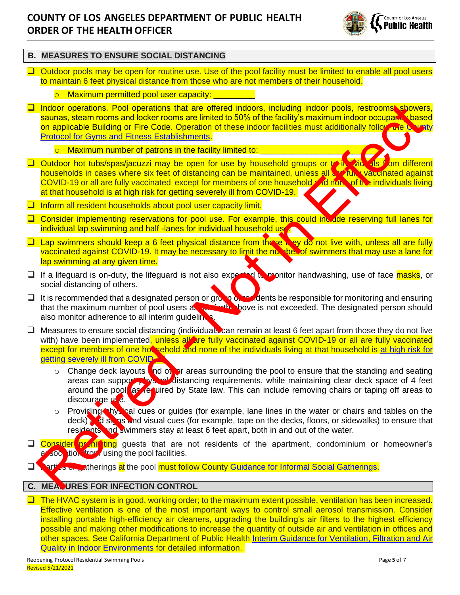

### **B. MEASURES TO ENSURE SOCIAL DISTANCING**

❑ Outdoor pools may be open for routine use. Use of the pool facility must be limited to enable all pool users to maintain 6 feet physical distance from those who are not members of their household.

#### o Maximum permitted pool user capacity: <u>success</u>

- ❑ Indoor operations. Pool operations that are offered indoors, including indoor pools, restrooms, showers, saunas, steam rooms and locker rooms are limited to 50% of the facility's maximum indoor occuparts based on applicable Building or Fire Code. Operation of these indoor facilities must additionally follow the County Protocol for Gyms and Fitness Establishments. in[d](https://www.cdc.gov/coronavirus/2019-ncov/need-extra-precautions/people-with-medical-conditions.html/)uced operations. Pool operations that do offered indoor operations and provide a manual provide the political interest in the other code. Operation of the code of the foling interest in the stationally folious and princ
	- $\circ$  Maximum number of patrons in the facility limited to:
- **□** Outdoor hot tubs/spas/jacuzzi may be open for use by household groups or to in vide als from different households in cases where six feet of distancing can be maintained, unless all and fully vaccinated against COVID-19 or all are fully vaccinated except for members of one household and none of the individuals living at that household is at high risk for getting severely ill from COVID-19.
- ❑ Inform all resident households about pool user capacity limit.
- □ Consider implementing reservations for pool use. For example, this could include reserving full lanes for individual lap swimming and half-lanes for individual household use.
- □ Lap swimmers should keep a 6 feet physical distance from these they do not live with, unless all are fully vaccinated against COVID-19. It may be necessary to limit the number of swimmers that may use a lane for lap swimming at any given time.
- □ If a lifeguard is on-duty, the lifeguard is not also expected it monitor handwashing, use of face masks, or social distancing of others.
- $\Box$  It is recommended that a designated person or group of responsible for monitoring and ensuring that the maximum number of pool users as set of the the pove is not exceeded. The designated person should also monitor adherence to all interim guideline
- □ Measures to ensure social distancing (individuals can remain at least 6 feet apart from those they do not live with) have been implemented, unless all are fully vaccinated against COVID-19 or all are fully vaccinated except for members of one hot sehold and none of the individuals living at that household is at high risk for getting severely ill from COVID-1
	- Change deck layouts and other areas surrounding the pool to ensure that the standing and seating areas can support physical distancing requirements, while maintaining clear deck space of 4 feet around the pool, as required by State law. This can include removing chairs or taping off areas to discourage  $\mu$  e.
	- o Providing hysical cues or guides (for example, lane lines in the water or chairs and tables on the deck) and signs and visual cues (for example, tape on the decks, floors, or sidewalks) to ensure that residents and swimmers stay at least 6 feet apart, both in and out of the water.
- □ Consider prohit ting guests that are not residents of the apartment, condominium or homeowner's association from using the pool facilities.

artics or gatherings at the pool must follow County Guidance for Informal Social Gatherings.

### **C. MEASURES FOR INFECTION CONTROL**

❑ The HVAC system is in good, working order; to the maximum extent possible, ventilation has been increased. Effective ventilation is one of the most important ways to control small aerosol transmission. Consider installing portable high-efficiency air cleaners, upgrading the building's air filters to the highest efficiency possible and making other modifications to increase the quantity of outside air and ventilation in offices and other spaces. See California Department of Public Health [Interim Guidance for Ventilation, Filtration and Air](https://www.cdph.ca.gov/Programs/CID/DCDC/Pages/COVID-19/Interim-Guidance-for-Ventilation-Filtration-and-Air-Quality-in-Indoor-Environments.aspx)  [Quality in Indoor Environments](https://www.cdph.ca.gov/Programs/CID/DCDC/Pages/COVID-19/Interim-Guidance-for-Ventilation-Filtration-and-Air-Quality-in-Indoor-Environments.aspx) for detailed information.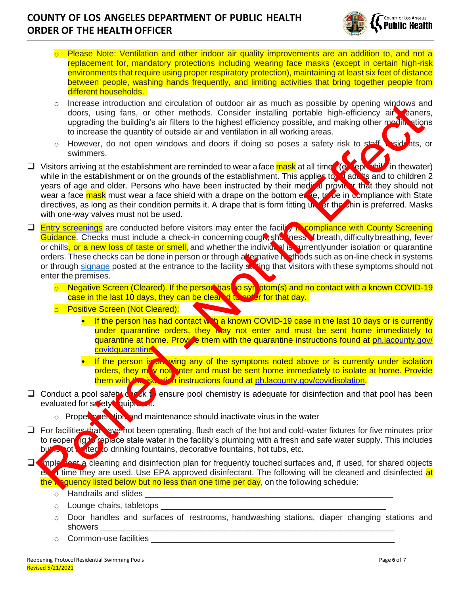

- o Please Note: Ventilation and other indoor air quality improvements are an addition to, and not a replacement for, mandatory protections including wearing face masks (except in certain high-risk environments that require using proper respiratory protection), maintaining at least six feet of distance between people, washing hands frequently, and limiting activities that bring together people from different households.
- $\circ$  Increase introduction and circulation of outdoor air as much as possible by opening windows and doors, using fans, or other methods. Consider installing portable high-efficiency air caners, upgrading the building's air filters to the highest efficiency possible, and making other mesting stions to increase the quantity of outside air and ventilation in all working areas.
- o However, do not open windows and doors if doing so poses a safety risk to staff, residents, or swimmers.
- □ Visitors arriving at the establishment are reminded to wear a face mask at all time (except while in thewater) while in the establishment or on the grounds of the establishment. This applies to adults and to children 2 years of age and older. Persons who have been instructed by their medical provider that they should not wear a face mask must wear a face shield with a drape on the bottom edge, to be in compliance with State directives, as long as their condition permits it. A drape that is form fitting under the chin is preferred. Masks with one-way valves must not be used. The transformation an[d](http://ph.lacounty.gov/covidquarantine) orientation of outdoor air as much as possible, and propring with the burst in the propriate the burst and the burst and the burst and the burst and the burst and the burst and the burst and the case
- □ Entry screenings</u> are conducted before visitors may enter the facility in compliance with County Screening Guidance. Checks must include a check-in concerning cough, shot nesse f breath, difficulty breathing, fever or chills, or a new loss of taste or smell, and whether the individual is surrentlyunder isolation or quarantine orders. These checks can be done in person or through alternative in sthods such as on-line check in systems or through signage posted at the entrance to the facility stating that visitors with these symptoms should not enter the premises.
	- o Negative Screen (Cleared). If the person has to syn ptom(s) and no contact with a known COVID-19 case in the last 10 days, they can be cleared to enter for that day.
	- o Positive Screen (Not Cleared):
		- If the person has had contact with a known COVID-19 case in the last 10 days or is currently under quarantine orders, they may not enter and must be sent home immediately to quarantine at home. Provice them with the quarantine instructions found at ph.lacounty.gov/ covidquarantine
		- If the person is an wing any of the symptoms noted above or is currently under isolation orders, they move not note and must be sent home immediately to isolate at home. Provide them with the isolation instructions found at ph.lacounty.gov/covidisolation.
- $\Box$  Conduct a pool safety deck to ensure pool chemistry is adequate for disinfection and that pool has been evaluated for safety quipment.
	- $\circ$  Proper open tion, and maintenance should inactivate virus in the water
- □ For facilities that have not been operating, flush each of the hot and cold-water fixtures for five minutes prior to reopen ngt replace stale water in the facility's plumbing with a fresh and safe water supply. This includes but is not limited to drinking fountains, decorative fountains, hot tubs, etc.
- onplectiont a cleaning and disinfection plan for frequently touched surfaces and, if used, for shared objects e. I time they are used. Use EPA approved disinfectant. The following will be cleaned and disinfected at the **Requency listed below but no less than one time per day**, on the following schedule:
	- $\circ$  Handrails and slides
	- $\circ$  Lounge chairs, tabletops
	- o Door handles and surfaces of restrooms, handwashing stations, diaper changing stations and showers \_\_\_\_\_\_\_\_\_\_\_\_\_\_\_\_\_\_\_\_\_\_\_\_\_\_\_\_\_\_\_\_\_\_\_\_\_\_\_\_\_\_\_\_\_\_\_\_\_\_\_\_\_\_\_\_\_\_\_\_\_\_\_\_
	- o Common-use facilities